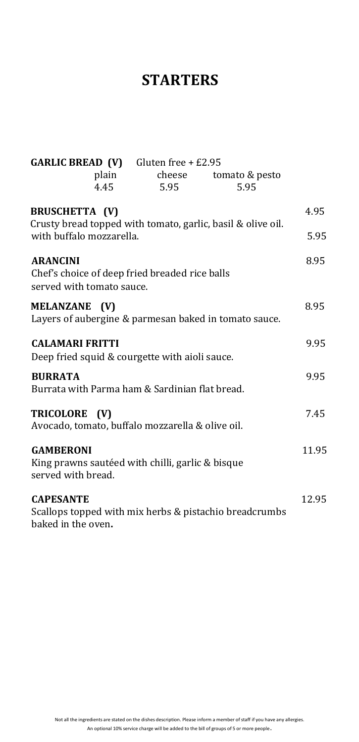### **STARTERS**

| <b>GARLIC BREAD (V)</b> Gluten free + £2.95<br>plain<br>4.45                                     | cheese<br>5.95 | tomato & pesto<br>5.95 |       |
|--------------------------------------------------------------------------------------------------|----------------|------------------------|-------|
| <b>BRUSCHETTA (V)</b>                                                                            |                |                        | 4.95  |
| Crusty bread topped with tomato, garlic, basil & olive oil.<br>with buffalo mozzarella.          |                |                        | 5.95  |
| <b>ARANCINI</b><br>Chef's choice of deep fried breaded rice balls<br>served with tomato sauce.   |                |                        | 8.95  |
| <b>MELANZANE</b><br>(V)<br>Layers of aubergine & parmesan baked in tomato sauce.                 |                |                        | 8.95  |
| <b>CALAMARI FRITTI</b><br>Deep fried squid & courgette with aioli sauce.                         |                |                        | 9.95  |
| <b>BURRATA</b><br>Burrata with Parma ham & Sardinian flat bread.                                 |                |                        | 9.95  |
| <b>TRICOLORE</b><br>(V)<br>Avocado, tomato, buffalo mozzarella & olive oil.                      |                |                        | 7.45  |
| <b>GAMBERONI</b><br>King prawns sautéed with chilli, garlic & bisque<br>served with bread.       |                |                        | 11.95 |
| <b>CAPESANTE</b><br>Scallops topped with mix herbs & pistachio breadcrumbs<br>baked in the oven. |                |                        | 12.95 |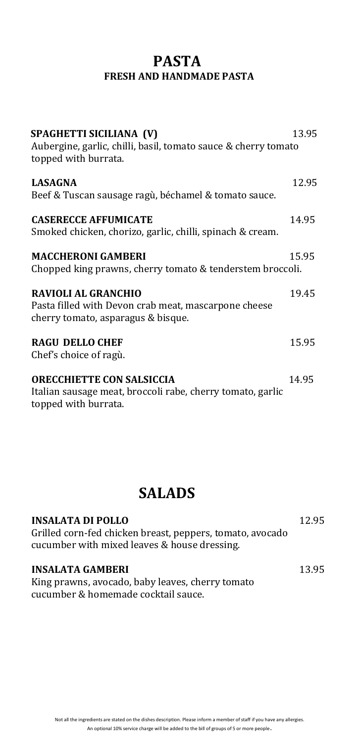#### **PASTA FRESH AND HANDMADE PASTA**

| SPAGHETTI SICILIANA (V)<br>Aubergine, garlic, chilli, basil, tomato sauce & cherry tomato<br>topped with burrata.        | 13.95 |
|--------------------------------------------------------------------------------------------------------------------------|-------|
| <b>LASAGNA</b><br>Beef & Tuscan sausage ragù, béchamel & tomato sauce.                                                   | 12.95 |
| <b>CASERECCE AFFUMICATE</b><br>Smoked chicken, chorizo, garlic, chilli, spinach & cream.                                 | 14.95 |
| <b>MACCHERONI GAMBERI</b><br>Chopped king prawns, cherry tomato & tenderstem broccoli.                                   | 15.95 |
| <b>RAVIOLI AL GRANCHIO</b><br>Pasta filled with Devon crab meat, mascarpone cheese<br>cherry tomato, asparagus & bisque. | 19.45 |
| <b>RAGU DELLO CHEF</b><br>Chef's choice of ragù.                                                                         | 15.95 |
| <b>ORECCHIETTE CON SALSICCIA</b><br>Italian sausage meat, broccoli rabe, cherry tomato, garlic<br>topped with burrata.   | 14 95 |

### **SALADS**

| <b>INSALATA DI POLLO</b>                                                                                  | 12.95 |
|-----------------------------------------------------------------------------------------------------------|-------|
| Grilled corn-fed chicken breast, peppers, tomato, avocado<br>cucumber with mixed leaves & house dressing. |       |
| <b>INSALATA GAMBERI</b>                                                                                   | 13.95 |
| King prawns, avocado, baby leaves, cherry tomato                                                          |       |
| cucumber & homemade cocktail sauce.                                                                       |       |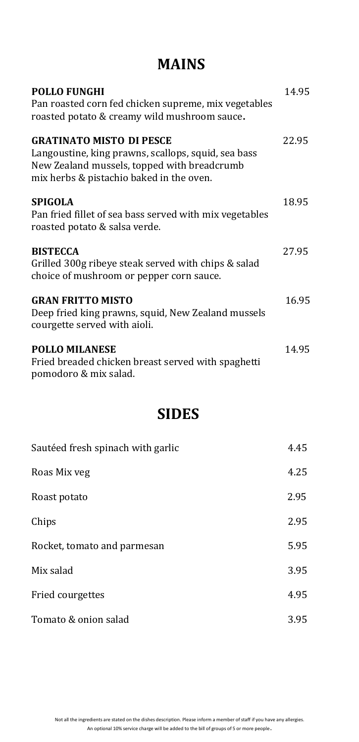# **MAINS**

| <b>POLLO FUNGHI</b><br>Pan roasted corn fed chicken supreme, mix vegetables<br>roasted potato & creamy wild mushroom sauce.                                                       | 14.95 |
|-----------------------------------------------------------------------------------------------------------------------------------------------------------------------------------|-------|
| <b>GRATINATO MISTO DI PESCE</b><br>Langoustine, king prawns, scallops, squid, sea bass<br>New Zealand mussels, topped with breadcrumb<br>mix herbs & pistachio baked in the oven. | 22.95 |
| <b>SPIGOLA</b><br>Pan fried fillet of sea bass served with mix vegetables<br>roasted potato & salsa verde.                                                                        | 18.95 |
| <b>BISTECCA</b><br>Grilled 300g ribeye steak served with chips & salad<br>choice of mushroom or pepper corn sauce.                                                                | 27.95 |
| <b>GRAN FRITTO MISTO</b><br>Deep fried king prawns, squid, New Zealand mussels<br>courgette served with aioli.                                                                    | 16.95 |
| <b>POLLO MILANESE</b><br>Fried breaded chicken breast served with spaghetti<br>pomodoro & mix salad.                                                                              | 14.95 |

# **SIDES**

| Sautéed fresh spinach with garlic | 4.45 |
|-----------------------------------|------|
| Roas Mix veg                      | 4.25 |
| Roast potato                      | 2.95 |
| Chips                             | 2.95 |
| Rocket, tomato and parmesan       | 5.95 |
| Mix salad                         | 3.95 |
| Fried courgettes                  | 4.95 |
| Tomato & onion salad              | 3.95 |